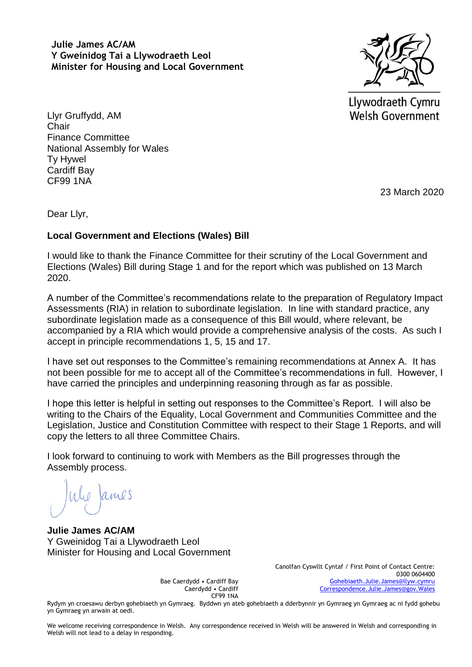**Julie James AC/AM Y Gweinidog Tai a Llywodraeth Leol Minister for Housing and Local Government**



Llywodraeth Cymru Welsh Government

Llyr Gruffydd, AM **Chair** Finance Committee National Assembly for Wales Ty Hywel Cardiff Bay CF99 1NA

23 March 2020

Dear Llyr,

## **Local Government and Elections (Wales) Bill**

I would like to thank the Finance Committee for their scrutiny of the Local Government and Elections (Wales) Bill during Stage 1 and for the report which was published on 13 March 2020.

A number of the Committee's recommendations relate to the preparation of Regulatory Impact Assessments (RIA) in relation to subordinate legislation. In line with standard practice, any subordinate legislation made as a consequence of this Bill would, where relevant, be accompanied by a RIA which would provide a comprehensive analysis of the costs. As such I accept in principle recommendations 1, 5, 15 and 17.

I have set out responses to the Committee's remaining recommendations at Annex A. It has not been possible for me to accept all of the Committee's recommendations in full. However, I have carried the principles and underpinning reasoning through as far as possible.

I hope this letter is helpful in setting out responses to the Committee's Report. I will also be writing to the Chairs of the Equality, Local Government and Communities Committee and the Legislation, Justice and Constitution Committee with respect to their Stage 1 Reports, and will copy the letters to all three Committee Chairs.

I look forward to continuing to work with Members as the Bill progresses through the Assembly process.

Whe James

**Julie James AC/AM** Y Gweinidog Tai a Llywodraeth Leol Minister for Housing and Local Government

> Bae Caerdydd • Cardiff Bay Caerdydd • Cardiff CF99 1NA

Canolfan Cyswllt Cyntaf / First Point of Contact Centre: 0300 0604400 [Gohebiaeth.Julie.James@llyw.cymru](mailto:Gohebiaeth.Julie.James@llyw.cymru) [Correspondence.Julie.James@gov.Wales](mailto:Correspondence.Julie.James@gov.Wales)

Rydym yn croesawu derbyn gohebiaeth yn Gymraeg. Byddwn yn ateb gohebiaeth a dderbynnir yn Gymraeg yn Gymraeg ac ni fydd gohebu yn Gymraeg yn arwain at oedi.

We welcome receiving correspondence in Welsh. Any correspondence received in Welsh will be answered in Welsh and corresponding in Welsh will not lead to a delay in responding.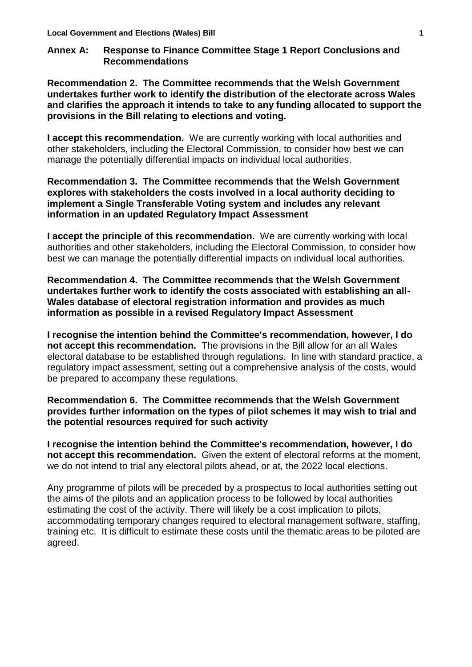## **Annex A: Response to Finance Committee Stage 1 Report Conclusions and Recommendations**

**Recommendation 2. The Committee recommends that the Welsh Government undertakes further work to identify the distribution of the electorate across Wales and clarifies the approach it intends to take to any funding allocated to support the provisions in the Bill relating to elections and voting.**

**I accept this recommendation.** We are currently working with local authorities and other stakeholders, including the Electoral Commission, to consider how best we can manage the potentially differential impacts on individual local authorities.

**Recommendation 3. The Committee recommends that the Welsh Government explores with stakeholders the costs involved in a local authority deciding to implement a Single Transferable Voting system and includes any relevant information in an updated Regulatory Impact Assessment**

**I accept the principle of this recommendation.** We are currently working with local authorities and other stakeholders, including the Electoral Commission, to consider how best we can manage the potentially differential impacts on individual local authorities.

**Recommendation 4. The Committee recommends that the Welsh Government undertakes further work to identify the costs associated with establishing an all-Wales database of electoral registration information and provides as much information as possible in a revised Regulatory Impact Assessment**

**I recognise the intention behind the Committee's recommendation, however, I do not accept this recommendation.** The provisions in the Bill allow for an all Wales electoral database to be established through regulations. In line with standard practice, a regulatory impact assessment, setting out a comprehensive analysis of the costs, would be prepared to accompany these regulations.

**Recommendation 6. The Committee recommends that the Welsh Government provides further information on the types of pilot schemes it may wish to trial and the potential resources required for such activity**

**I recognise the intention behind the Committee's recommendation, however, I do not accept this recommendation.** Given the extent of electoral reforms at the moment, we do not intend to trial any electoral pilots ahead, or at, the 2022 local elections.

Any programme of pilots will be preceded by a prospectus to local authorities setting out the aims of the pilots and an application process to be followed by local authorities estimating the cost of the activity. There will likely be a cost implication to pilots, accommodating temporary changes required to electoral management software, staffing, training etc. It is difficult to estimate these costs until the thematic areas to be piloted are agreed.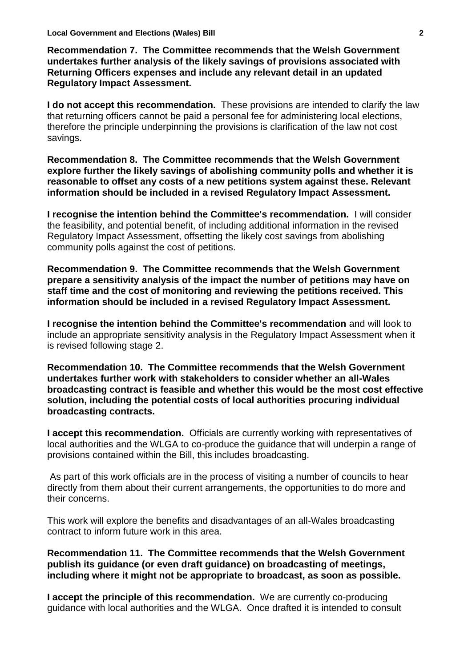**Recommendation 7. The Committee recommends that the Welsh Government undertakes further analysis of the likely savings of provisions associated with Returning Officers expenses and include any relevant detail in an updated Regulatory Impact Assessment.**

**I do not accept this recommendation.** These provisions are intended to clarify the law that returning officers cannot be paid a personal fee for administering local elections, therefore the principle underpinning the provisions is clarification of the law not cost savings.

**Recommendation 8. The Committee recommends that the Welsh Government explore further the likely savings of abolishing community polls and whether it is reasonable to offset any costs of a new petitions system against these. Relevant information should be included in a revised Regulatory Impact Assessment.** 

**I recognise the intention behind the Committee's recommendation.** I will consider the feasibility, and potential benefit, of including additional information in the revised Regulatory Impact Assessment, offsetting the likely cost savings from abolishing community polls against the cost of petitions.

**Recommendation 9. The Committee recommends that the Welsh Government prepare a sensitivity analysis of the impact the number of petitions may have on staff time and the cost of monitoring and reviewing the petitions received. This information should be included in a revised Regulatory Impact Assessment.**

**I recognise the intention behind the Committee's recommendation** and will look to include an appropriate sensitivity analysis in the Regulatory Impact Assessment when it is revised following stage 2.

**Recommendation 10. The Committee recommends that the Welsh Government undertakes further work with stakeholders to consider whether an all-Wales broadcasting contract is feasible and whether this would be the most cost effective solution, including the potential costs of local authorities procuring individual broadcasting contracts.**

**I accept this recommendation.** Officials are currently working with representatives of local authorities and the WLGA to co-produce the guidance that will underpin a range of provisions contained within the Bill, this includes broadcasting.

As part of this work officials are in the process of visiting a number of councils to hear directly from them about their current arrangements, the opportunities to do more and their concerns.

This work will explore the benefits and disadvantages of an all-Wales broadcasting contract to inform future work in this area.

**Recommendation 11. The Committee recommends that the Welsh Government publish its guidance (or even draft guidance) on broadcasting of meetings, including where it might not be appropriate to broadcast, as soon as possible.**

**I accept the principle of this recommendation.** We are currently co-producing guidance with local authorities and the WLGA. Once drafted it is intended to consult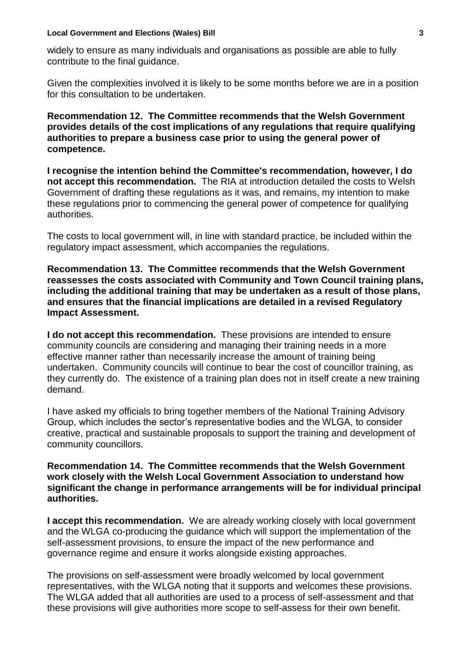#### **Local Government and Elections (Wales) Bill 3**

widely to ensure as many individuals and organisations as possible are able to fully contribute to the final guidance.

Given the complexities involved it is likely to be some months before we are in a position for this consultation to be undertaken.

**Recommendation 12. The Committee recommends that the Welsh Government provides details of the cost implications of any regulations that require qualifying authorities to prepare a business case prior to using the general power of competence.**

**I recognise the intention behind the Committee's recommendation, however, I do not accept this recommendation.** The RIA at introduction detailed the costs to Welsh Government of drafting these regulations as it was, and remains, my intention to make these regulations prior to commencing the general power of competence for qualifying authorities.

The costs to local government will, in line with standard practice, be included within the regulatory impact assessment, which accompanies the regulations.

**Recommendation 13. The Committee recommends that the Welsh Government reassesses the costs associated with Community and Town Council training plans, including the additional training that may be undertaken as a result of those plans, and ensures that the financial implications are detailed in a revised Regulatory Impact Assessment.**

**I do not accept this recommendation.** These provisions are intended to ensure community councils are considering and managing their training needs in a more effective manner rather than necessarily increase the amount of training being undertaken. Community councils will continue to bear the cost of councillor training, as they currently do. The existence of a training plan does not in itself create a new training demand.

I have asked my officials to bring together members of the National Training Advisory Group, which includes the sector's representative bodies and the WLGA, to consider creative, practical and sustainable proposals to support the training and development of community councillors.

### **Recommendation 14. The Committee recommends that the Welsh Government work closely with the Welsh Local Government Association to understand how significant the change in performance arrangements will be for individual principal authorities.**

**I accept this recommendation.** We are already working closely with local government and the WLGA co-producing the guidance which will support the implementation of the self-assessment provisions, to ensure the impact of the new performance and governance regime and ensure it works alongside existing approaches.

The provisions on self-assessment were broadly welcomed by local government representatives, with the WLGA noting that it supports and welcomes these provisions. The WLGA added that all authorities are used to a process of self-assessment and that these provisions will give authorities more scope to self-assess for their own benefit.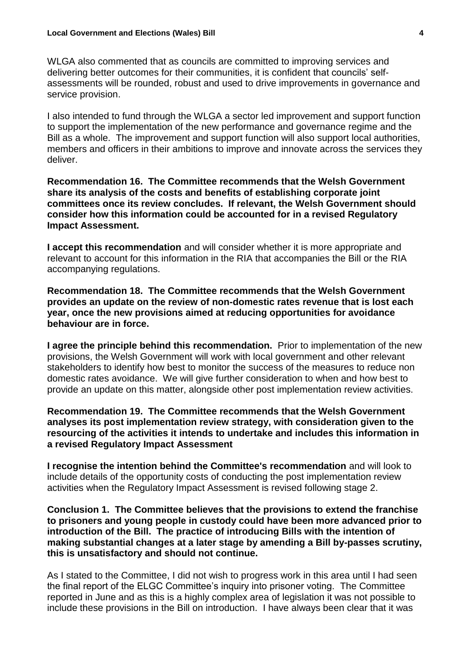WLGA also commented that as councils are committed to improving services and delivering better outcomes for their communities, it is confident that councils' selfassessments will be rounded, robust and used to drive improvements in governance and service provision.

I also intended to fund through the WLGA a sector led improvement and support function to support the implementation of the new performance and governance regime and the Bill as a whole. The improvement and support function will also support local authorities, members and officers in their ambitions to improve and innovate across the services they deliver.

**Recommendation 16. The Committee recommends that the Welsh Government share its analysis of the costs and benefits of establishing corporate joint committees once its review concludes. If relevant, the Welsh Government should consider how this information could be accounted for in a revised Regulatory Impact Assessment.**

**I accept this recommendation** and will consider whether it is more appropriate and relevant to account for this information in the RIA that accompanies the Bill or the RIA accompanying regulations.

**Recommendation 18. The Committee recommends that the Welsh Government provides an update on the review of non-domestic rates revenue that is lost each year, once the new provisions aimed at reducing opportunities for avoidance behaviour are in force.**

**I agree the principle behind this recommendation.** Prior to implementation of the new provisions, the Welsh Government will work with local government and other relevant stakeholders to identify how best to monitor the success of the measures to reduce non domestic rates avoidance. We will give further consideration to when and how best to provide an update on this matter, alongside other post implementation review activities.

**Recommendation 19. The Committee recommends that the Welsh Government analyses its post implementation review strategy, with consideration given to the resourcing of the activities it intends to undertake and includes this information in a revised Regulatory Impact Assessment**

**I recognise the intention behind the Committee's recommendation** and will look to include details of the opportunity costs of conducting the post implementation review activities when the Regulatory Impact Assessment is revised following stage 2.

**Conclusion 1. The Committee believes that the provisions to extend the franchise to prisoners and young people in custody could have been more advanced prior to introduction of the Bill. The practice of introducing Bills with the intention of making substantial changes at a later stage by amending a Bill by-passes scrutiny, this is unsatisfactory and should not continue.**

As I stated to the Committee, I did not wish to progress work in this area until I had seen the final report of the ELGC Committee's inquiry into prisoner voting. The Committee reported in June and as this is a highly complex area of legislation it was not possible to include these provisions in the Bill on introduction. I have always been clear that it was